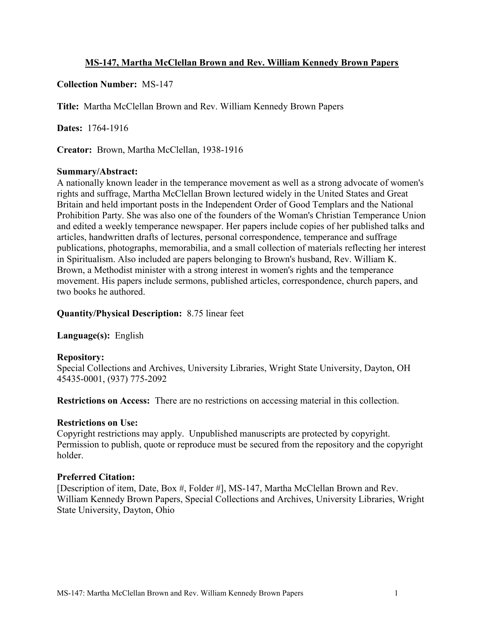### **MS-147, Martha McClellan Brown and Rev. William Kennedy Brown Papers**

### **Collection Number:** MS-147

**Title:** Martha McClellan Brown and Rev. William Kennedy Brown Papers

**Dates:** 1764-1916

**Creator:** Brown, Martha McClellan, 1938-1916

#### **Summary/Abstract:**

A nationally known leader in the temperance movement as well as a strong advocate of women's rights and suffrage, Martha McClellan Brown lectured widely in the United States and Great Britain and held important posts in the Independent Order of Good Templars and the National Prohibition Party. She was also one of the founders of the Woman's Christian Temperance Union and edited a weekly temperance newspaper. Her papers include copies of her published talks and articles, handwritten drafts of lectures, personal correspondence, temperance and suffrage publications, photographs, memorabilia, and a small collection of materials reflecting her interest in Spiritualism. Also included are papers belonging to Brown's husband, Rev. William K. Brown, a Methodist minister with a strong interest in women's rights and the temperance movement. His papers include sermons, published articles, correspondence, church papers, and two books he authored.

**Quantity/Physical Description:** 8.75 linear feet

**Language(s):** English

#### **Repository:**

Special Collections and Archives, University Libraries, Wright State University, Dayton, OH 45435-0001, (937) 775-2092

**Restrictions on Access:** There are no restrictions on accessing material in this collection.

#### **Restrictions on Use:**

Copyright restrictions may apply. Unpublished manuscripts are protected by copyright. Permission to publish, quote or reproduce must be secured from the repository and the copyright holder.

#### **Preferred Citation:**

[Description of item, Date, Box #, Folder #], MS-147, Martha McClellan Brown and Rev. William Kennedy Brown Papers, Special Collections and Archives, University Libraries, Wright State University, Dayton, Ohio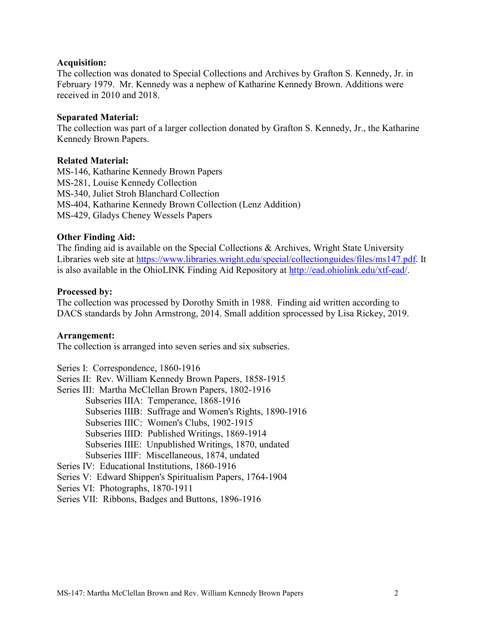#### **Acquisition:**

The collection was donated to Special Collections and Archives by Grafton S. Kennedy, Jr. in February 1979. Mr. Kennedy was a nephew of Katharine Kennedy Brown. Additions were received in 2010 and 2018.

#### **Separated Material:**

The collection was part of a larger collection donated by Grafton S. Kennedy, Jr., the Katharine Kennedy Brown Papers.

#### **Related Material:**

MS-146, Katharine Kennedy Brown Papers MS-281, Louise Kennedy Collection MS-340, Juliet Stroh Blanchard Collection MS-404, Katharine Kennedy Brown Collection (Lenz Addition) MS-429, Gladys Cheney Wessels Papers

#### **Other Finding Aid:**

The finding aid is available on the Special Collections & Archives, Wright State University Libraries web site at [https://www.libraries.wright.edu/special/collectionguides/files/ms147.pdf.](https://www.libraries.wright.edu/special/collectionguides/files/ms147.pdf) It is also available in the OhioLINK Finding Aid Repository at [http://ead.ohiolink.edu/xtf-ead/.](http://ead.ohiolink.edu/xtf-ead/)

#### **Processed by:**

The collection was processed by Dorothy Smith in 1988. Finding aid written according to DACS standards by John Armstrong, 2014. Small addition sprocessed by Lisa Rickey, 2019.

#### **Arrangement:**

The collection is arranged into seven series and six subseries.

Series I: Correspondence, 1860-1916 Series II: Rev. William Kennedy Brown Papers, 1858-1915 Series III: Martha McClellan Brown Papers, 1802-1916 Subseries IIIA: Temperance, 1868-1916 Subseries IIIB: Suffrage and Women's Rights, 1890-1916 Subseries IIIC: Women's Clubs, 1902-1915 Subseries IIID: Published Writings, 1869-1914 Subseries IIIE: Unpublished Writings, 1870, undated Subseries IIIF: Miscellaneous, 1874, undated Series IV: Educational Institutions, 1860-1916 Series V: Edward Shippen's Spiritualism Papers, 1764-1904 Series VI: Photographs, 1870-1911 Series VII: Ribbons, Badges and Buttons, 1896-1916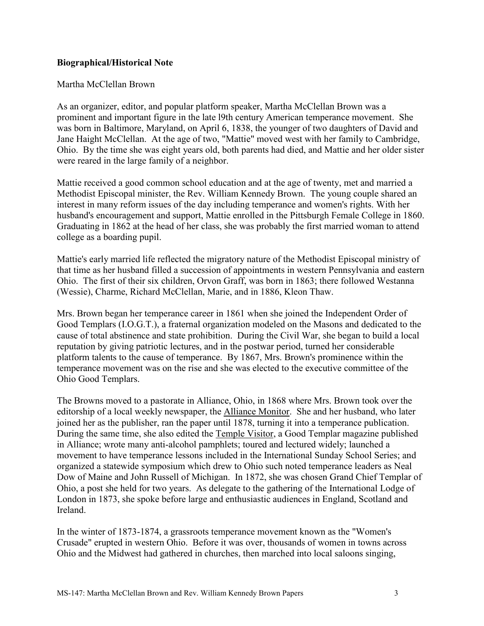#### **Biographical/Historical Note**

#### Martha McClellan Brown

As an organizer, editor, and popular platform speaker, Martha McClellan Brown was a prominent and important figure in the late l9th century American temperance movement. She was born in Baltimore, Maryland, on April 6, 1838, the younger of two daughters of David and Jane Haight McClellan. At the age of two, "Mattie" moved west with her family to Cambridge, Ohio. By the time she was eight years old, both parents had died, and Mattie and her older sister were reared in the large family of a neighbor.

Mattie received a good common school education and at the age of twenty, met and married a Methodist Episcopal minister, the Rev. William Kennedy Brown. The young couple shared an interest in many reform issues of the day including temperance and women's rights. With her husband's encouragement and support, Mattie enrolled in the Pittsburgh Female College in 1860. Graduating in 1862 at the head of her class, she was probably the first married woman to attend college as a boarding pupil.

Mattie's early married life reflected the migratory nature of the Methodist Episcopal ministry of that time as her husband filled a succession of appointments in western Pennsylvania and eastern Ohio. The first of their six children, Orvon Graff, was born in 1863; there followed Westanna (Wessie), Charme, Richard McClellan, Marie, and in 1886, Kleon Thaw.

Mrs. Brown began her temperance career in 1861 when she joined the Independent Order of Good Templars (I.O.G.T.), a fraternal organization modeled on the Masons and dedicated to the cause of total abstinence and state prohibition. During the Civil War, she began to build a local reputation by giving patriotic lectures, and in the postwar period, turned her considerable platform talents to the cause of temperance. By 1867, Mrs. Brown's prominence within the temperance movement was on the rise and she was elected to the executive committee of the Ohio Good Templars.

The Browns moved to a pastorate in Alliance, Ohio, in 1868 where Mrs. Brown took over the editorship of a local weekly newspaper, the Alliance Monitor. She and her husband, who later joined her as the publisher, ran the paper until 1878, turning it into a temperance publication. During the same time, she also edited the Temple Visitor, a Good Templar magazine published in Alliance; wrote many anti-alcohol pamphlets; toured and lectured widely; launched a movement to have temperance lessons included in the International Sunday School Series; and organized a statewide symposium which drew to Ohio such noted temperance leaders as Neal Dow of Maine and John Russell of Michigan. In 1872, she was chosen Grand Chief Templar of Ohio, a post she held for two years. As delegate to the gathering of the International Lodge of London in 1873, she spoke before large and enthusiastic audiences in England, Scotland and Ireland.

In the winter of 1873-1874, a grassroots temperance movement known as the "Women's Crusade" erupted in western Ohio. Before it was over, thousands of women in towns across Ohio and the Midwest had gathered in churches, then marched into local saloons singing,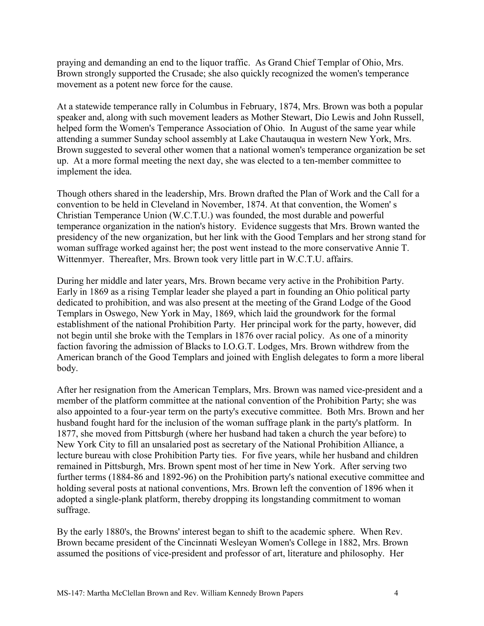praying and demanding an end to the liquor traffic. As Grand Chief Templar of Ohio, Mrs. Brown strongly supported the Crusade; she also quickly recognized the women's temperance movement as a potent new force for the cause.

At a statewide temperance rally in Columbus in February, 1874, Mrs. Brown was both a popular speaker and, along with such movement leaders as Mother Stewart, Dio Lewis and John Russell, helped form the Women's Temperance Association of Ohio. In August of the same year while attending a summer Sunday school assembly at Lake Chautauqua in western New York, Mrs. Brown suggested to several other women that a national women's temperance organization be set up. At a more formal meeting the next day, she was elected to a ten-member committee to implement the idea.

Though others shared in the leadership, Mrs. Brown drafted the Plan of Work and the Call for a convention to be held in Cleveland in November, 1874. At that convention, the Women' s Christian Temperance Union (W.C.T.U.) was founded, the most durable and powerful temperance organization in the nation's history. Evidence suggests that Mrs. Brown wanted the presidency of the new organization, but her link with the Good Templars and her strong stand for woman suffrage worked against her; the post went instead to the more conservative Annie T. Wittenmyer. Thereafter, Mrs. Brown took very little part in W.C.T.U. affairs.

During her middle and later years, Mrs. Brown became very active in the Prohibition Party. Early in 1869 as a rising Templar leader she played a part in founding an Ohio political party dedicated to prohibition, and was also present at the meeting of the Grand Lodge of the Good Templars in Oswego, New York in May, 1869, which laid the groundwork for the formal establishment of the national Prohibition Party. Her principal work for the party, however, did not begin until she broke with the Templars in 1876 over racial policy. As one of a minority faction favoring the admission of Blacks to I.O.G.T. Lodges, Mrs. Brown withdrew from the American branch of the Good Templars and joined with English delegates to form a more liberal body.

After her resignation from the American Templars, Mrs. Brown was named vice-president and a member of the platform committee at the national convention of the Prohibition Party; she was also appointed to a four-year term on the party's executive committee. Both Mrs. Brown and her husband fought hard for the inclusion of the woman suffrage plank in the party's platform. In 1877, she moved from Pittsburgh (where her husband had taken a church the year before) to New York City to fill an unsalaried post as secretary of the National Prohibition Alliance, a lecture bureau with close Prohibition Party ties. For five years, while her husband and children remained in Pittsburgh, Mrs. Brown spent most of her time in New York. After serving two further terms (1884-86 and 1892-96) on the Prohibition party's national executive committee and holding several posts at national conventions, Mrs. Brown left the convention of 1896 when it adopted a single-plank platform, thereby dropping its longstanding commitment to woman suffrage.

By the early 1880's, the Browns' interest began to shift to the academic sphere. When Rev. Brown became president of the Cincinnati Wesleyan Women's College in 1882, Mrs. Brown assumed the positions of vice-president and professor of art, literature and philosophy. Her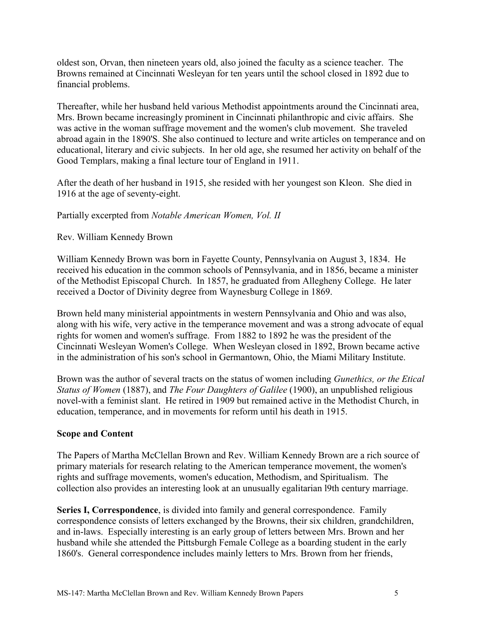oldest son, Orvan, then nineteen years old, also joined the faculty as a science teacher. The Browns remained at Cincinnati Wesleyan for ten years until the school closed in 1892 due to financial problems.

Thereafter, while her husband held various Methodist appointments around the Cincinnati area, Mrs. Brown became increasingly prominent in Cincinnati philanthropic and civic affairs. She was active in the woman suffrage movement and the women's club movement. She traveled abroad again in the 1890'S. She also continued to lecture and write articles on temperance and on educational, literary and civic subjects. In her old age, she resumed her activity on behalf of the Good Templars, making a final lecture tour of England in 1911.

After the death of her husband in 1915, she resided with her youngest son Kleon. She died in 1916 at the age of seventy-eight.

Partially excerpted from *Notable American Women, Vol. II*

Rev. William Kennedy Brown

William Kennedy Brown was born in Fayette County, Pennsylvania on August 3, 1834. He received his education in the common schools of Pennsylvania, and in 1856, became a minister of the Methodist Episcopal Church. In 1857, he graduated from Allegheny College. He later received a Doctor of Divinity degree from Waynesburg College in 1869.

Brown held many ministerial appointments in western Pennsylvania and Ohio and was also, along with his wife, very active in the temperance movement and was a strong advocate of equal rights for women and women's suffrage. From 1882 to 1892 he was the president of the Cincinnati Wesleyan Women's College. When Wesleyan closed in 1892, Brown became active in the administration of his son's school in Germantown, Ohio, the Miami Military Institute.

Brown was the author of several tracts on the status of women including *Gunethics, or the Etical Status of Women* (1887), and *The Four Daughters of Galilee* (1900), an unpublished religious novel-with a feminist slant. He retired in 1909 but remained active in the Methodist Church, in education, temperance, and in movements for reform until his death in 1915.

### **Scope and Content**

The Papers of Martha McClellan Brown and Rev. William Kennedy Brown are a rich source of primary materials for research relating to the American temperance movement, the women's rights and suffrage movements, women's education, Methodism, and Spiritualism. The collection also provides an interesting look at an unusually egalitarian l9th century marriage.

**Series I, Correspondence**, is divided into family and general correspondence. Family correspondence consists of letters exchanged by the Browns, their six children, grandchildren, and in-laws. Especially interesting is an early group of letters between Mrs. Brown and her husband while she attended the Pittsburgh Female College as a boarding student in the early 1860's. General correspondence includes mainly letters to Mrs. Brown from her friends,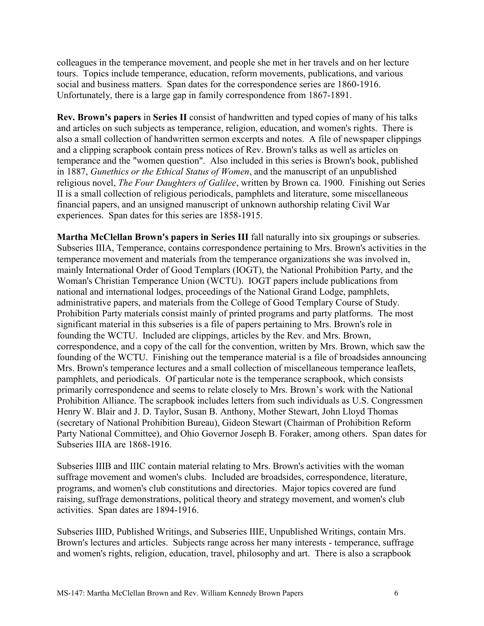colleagues in the temperance movement, and people she met in her travels and on her lecture tours. Topics include temperance, education, reform movements, publications, and various social and business matters. Span dates for the correspondence series are 1860-1916. Unfortunately, there is a large gap in family correspondence from 1867-1891.

**Rev. Brown's papers** in **Series II** consist of handwritten and typed copies of many of his talks and articles on such subjects as temperance, religion, education, and women's rights. There is also a small collection of handwritten sermon excerpts and notes. A file of newspaper clippings and a clipping scrapbook contain press notices of Rev. Brown's talks as well as articles on temperance and the "women question". Also included in this series is Brown's book, published in 1887, *Gunethics or the Ethical Status of Women*, and the manuscript of an unpublished religious novel, *The Four Daughters of Galilee*, written by Brown ca. 1900. Finishing out Series II is a small collection of religious periodicals, pamphlets and literature, some miscellaneous financial papers, and an unsigned manuscript of unknown authorship relating Civil War experiences. Span dates for this series are 1858-1915.

**Martha McClellan Brown's papers in Series III** fall naturally into six groupings or subseries. Subseries IIIA, Temperance, contains correspondence pertaining to Mrs. Brown's activities in the temperance movement and materials from the temperance organizations she was involved in, mainly International Order of Good Templars (IOGT), the National Prohibition Party, and the Woman's Christian Temperance Union (WCTU). IOGT papers include publications from national and international lodges, proceedings of the National Grand Lodge, pamphlets, administrative papers, and materials from the College of Good Templary Course of Study. Prohibition Party materials consist mainly of printed programs and party platforms. The most significant material in this subseries is a file of papers pertaining to Mrs. Brown's role in founding the WCTU. Included are clippings, articles by the Rev. and Mrs. Brown, correspondence, and a copy of the call for the convention, written by Mrs. Brown, which saw the founding of the WCTU. Finishing out the temperance material is a file of broadsides announcing Mrs. Brown's temperance lectures and a small collection of miscellaneous temperance leaflets, pamphlets, and periodicals. Of particular note is the temperance scrapbook, which consists primarily correspondence and seems to relate closely to Mrs. Brown's work with the National Prohibition Alliance. The scrapbook includes letters from such individuals as U.S. Congressmen Henry W. Blair and J. D. Taylor, Susan B. Anthony, Mother Stewart, John Lloyd Thomas (secretary of National Prohibition Bureau), Gideon Stewart (Chairman of Prohibition Reform Party National Committee), and Ohio Governor Joseph B. Foraker, among others. Span dates for Subseries IIIA are 1868-1916.

Subseries IIIB and IIIC contain material relating to Mrs. Brown's activities with the woman suffrage movement and women's clubs. Included are broadsides, correspondence, literature, programs, and women's club constitutions and directories. Major topics covered are fund raising, suffrage demonstrations, political theory and strategy movement, and women's club activities. Span dates are 1894-1916.

Subseries IIID, Published Writings, and Subseries IIIE, Unpublished Writings, contain Mrs. Brown's lectures and articles. Subjects range across her many interests - temperance, suffrage and women's rights, religion, education, travel, philosophy and art. There is also a scrapbook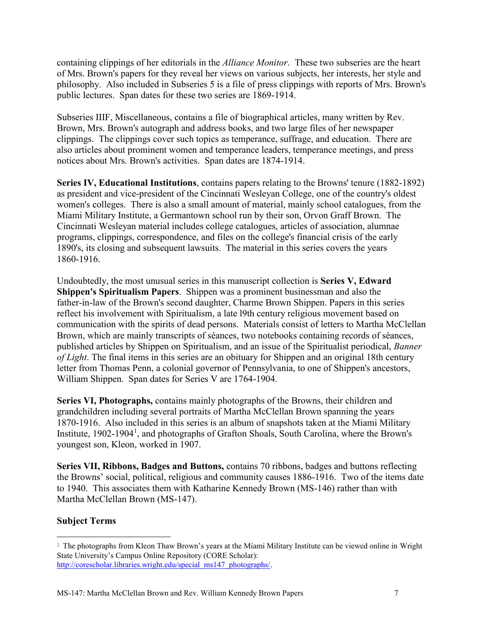containing clippings of her editorials in the *Alliance Monitor*. These two subseries are the heart of Mrs. Brown's papers for they reveal her views on various subjects, her interests, her style and philosophy. Also included in Subseries 5 is a file of press clippings with reports of Mrs. Brown's public lectures. Span dates for these two series are 1869-1914.

Subseries IIIF, Miscellaneous, contains a file of biographical articles, many written by Rev. Brown, Mrs. Brown's autograph and address books, and two large files of her newspaper clippings. The clippings cover such topics as temperance, suffrage, and education. There are also articles about prominent women and temperance leaders, temperance meetings, and press notices about Mrs. Brown's activities. Span dates are 1874-1914.

**Series IV, Educational Institutions**, contains papers relating to the Browns' tenure (1882-1892) as president and vice-president of the Cincinnati Wesleyan College, one of the country's oldest women's colleges. There is also a small amount of material, mainly school catalogues, from the Miami Military Institute, a Germantown school run by their son, Orvon Graff Brown. The Cincinnati Wesleyan material includes college catalogues, articles of association, alumnae programs, clippings, correspondence, and files on the college's financial crisis of the early 1890's, its closing and subsequent lawsuits. The material in this series covers the years 1860-1916.

Undoubtedly, the most unusual series in this manuscript collection is **Series V, Edward Shippen's Spiritualism Papers**. Shippen was a prominent businessman and also the father-in-law of the Brown's second daughter, Charme Brown Shippen. Papers in this series reflect his involvement with Spiritualism, a late l9th century religious movement based on communication with the spirits of dead persons. Materials consist of letters to Martha McClellan Brown, which are mainly transcripts of séances, two notebooks containing records of séances, published articles by Shippen on Spiritualism, and an issue of the Spiritualist periodical, *Banner of Light*. The final items in this series are an obituary for Shippen and an original 18th century letter from Thomas Penn, a colonial governor of Pennsylvania, to one of Shippen's ancestors, William Shippen. Span dates for Series V are 1764-1904.

**Series VI, Photographs,** contains mainly photographs of the Browns, their children and grandchildren including several portraits of Martha McClellan Brown spanning the years 1870-1916. Also included in this series is an album of snapshots taken at the Miami Military Institute, 1902-1904<sup>1</sup>, and photographs of Grafton Shoals, South Carolina, where the Brown's youngest son, Kleon, worked in 1907.

**Series VII, Ribbons, Badges and Buttons,** contains 70 ribbons, badges and buttons reflecting the Browns' social, political, religious and community causes 1886-1916. Two of the items date to 1940. This associates them with Katharine Kennedy Brown (MS-146) rather than with Martha McClellan Brown (MS-147).

### **Subject Terms**

 $\overline{a}$ <sup>1</sup> The photographs from Kleon Thaw Brown's years at the Miami Military Institute can be viewed online in Wright State University's Campus Online Repository (CORE Scholar): [http://corescholar.libraries.wright.edu/special\\_ms147\\_photographs/.](http://corescholar.libraries.wright.edu/special_ms147_photographs/)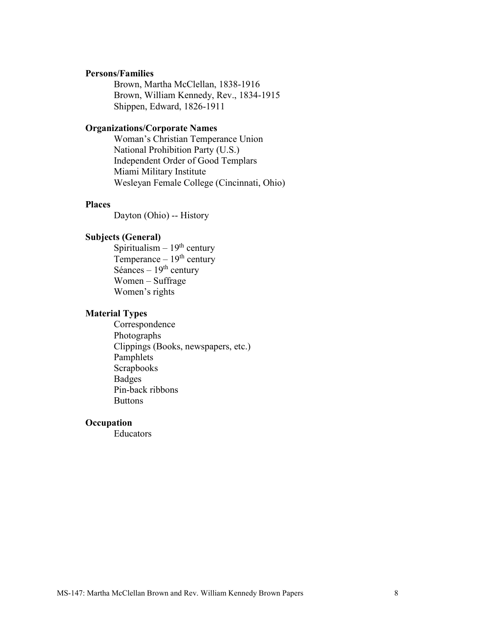#### **Persons/Families**

Brown, Martha McClellan, 1838-1916 Brown, William Kennedy, Rev., 1834-1915 Shippen, Edward, 1826-1911

#### **Organizations/Corporate Names**

Woman's Christian Temperance Union National Prohibition Party (U.S.) Independent Order of Good Templars Miami Military Institute Wesleyan Female College (Cincinnati, Ohio)

#### **Places**

Dayton (Ohio) -- History

#### **Subjects (General)**

Spiritualism  $-19<sup>th</sup>$  century Temperance  $-19<sup>th</sup>$  century Séances –  $19<sup>th</sup>$  century Women – Suffrage Women's rights

#### **Material Types**

Correspondence Photographs Clippings (Books, newspapers, etc.) Pamphlets Scrapbooks Badges Pin-back ribbons **Buttons** 

#### **Occupation**

Educators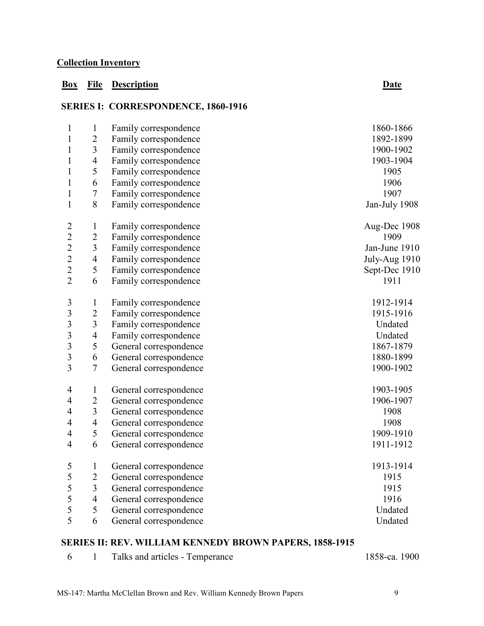### **Collection Inventory**

### **Box File Description Date**

# **SERIES I: CORRESPONDENCE, 1860-1916**

| $\mathbf{1}$            | $\mathbf{1}$             | Family correspondence  | 1860-1866     |
|-------------------------|--------------------------|------------------------|---------------|
| 1                       | $\mathbf{2}$             | Family correspondence  | 1892-1899     |
| 1                       | 3                        | Family correspondence  | 1900-1902     |
| 1                       | 4                        | Family correspondence  | 1903-1904     |
| 1                       | $\mathfrak s$            | Family correspondence  | 1905          |
| $\mathbf{1}$            | 6                        | Family correspondence  | 1906          |
| 1                       | $\tau$                   | Family correspondence  | 1907          |
| 1                       | $8\,$                    | Family correspondence  | Jan-July 1908 |
| $\overline{2}$          | $\mathbf{1}$             | Family correspondence  | Aug-Dec 1908  |
| $\overline{c}$          | $\mathbf{2}$             | Family correspondence  | 1909          |
| $\overline{2}$          | $\mathfrak{Z}$           | Family correspondence  | Jan-June 1910 |
| $\overline{c}$          | $\overline{4}$           | Family correspondence  | July-Aug 1910 |
| $\overline{2}$          | $\mathfrak s$            | Family correspondence  | Sept-Dec 1910 |
| $\overline{2}$          | 6                        | Family correspondence  | 1911          |
| $\mathfrak{Z}$          | $\mathbf{1}$             | Family correspondence  | 1912-1914     |
| $\overline{\mathbf{3}}$ | $\overline{2}$           | Family correspondence  | 1915-1916     |
| $\overline{\mathbf{3}}$ | $\mathfrak{Z}$           | Family correspondence  | Undated       |
| $\overline{\mathbf{3}}$ | $\overline{4}$           | Family correspondence  | Undated       |
| $\overline{\mathbf{3}}$ | 5                        | General correspondence | 1867-1879     |
| $\overline{\mathbf{3}}$ | 6                        | General correspondence | 1880-1899     |
| $\overline{3}$          | $\tau$                   | General correspondence | 1900-1902     |
| 4                       | $\mathbf{1}$             | General correspondence | 1903-1905     |
| $\overline{4}$          | $\overline{c}$           | General correspondence | 1906-1907     |
| $\overline{4}$          | $\mathfrak{Z}$           | General correspondence | 1908          |
| 4                       | $\overline{\mathcal{A}}$ | General correspondence | 1908          |
| $\overline{4}$          | 5                        | General correspondence | 1909-1910     |
| $\overline{4}$          | 6                        | General correspondence | 1911-1912     |
| 5                       | $\mathbf{1}$             | General correspondence | 1913-1914     |
| 5                       | $\overline{c}$           | General correspondence | 1915          |
| 5                       | $\mathfrak{Z}$           | General correspondence | 1915          |
| 5                       | $\overline{4}$           | General correspondence | 1916          |
| 5                       | 5                        | General correspondence | Undated       |
| 5                       | 6                        | General correspondence | Undated       |

### **SERIES II: REV. WILLIAM KENNEDY BROWN PAPERS, 1858-1915**

|  |  | Talks and articles - Temperance | 1858-ca. 1900 |
|--|--|---------------------------------|---------------|
|--|--|---------------------------------|---------------|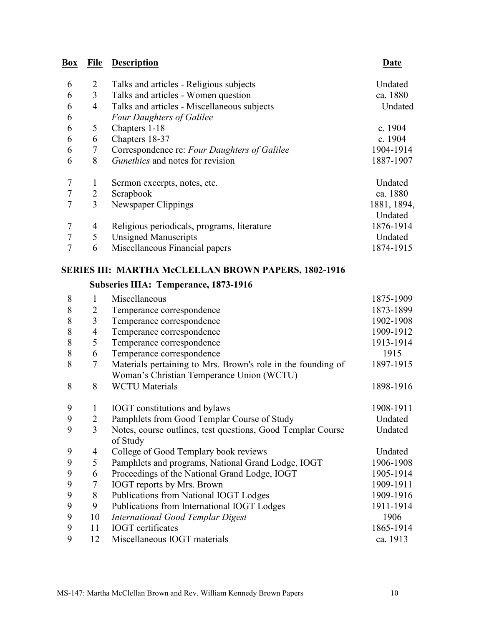# **Box File Description**

|--|

| 6 | 2 | Talks and articles - Religious subjects      | Undated     |
|---|---|----------------------------------------------|-------------|
| 6 | 3 | Talks and articles - Women question          | ca. 1880    |
| 6 | 4 | Talks and articles - Miscellaneous subjects  | Undated     |
| 6 |   | <b>Four Daughters of Galilee</b>             |             |
| 6 | 5 | Chapters 1-18                                | c. 1904     |
| 6 | 6 | Chapters 18-37                               | c. 1904     |
| 6 | 7 | Correspondence re: Four Daughters of Galilee | 1904-1914   |
| 6 | 8 | <i>Gunethics</i> and notes for revision      | 1887-1907   |
|   |   | Sermon excerpts, notes, etc.                 | Undated     |
|   | 2 | Scrapbook                                    | ca. 1880    |
|   | 3 | Newspaper Clippings                          | 1881, 1894, |
|   |   |                                              | Undated     |
|   | 4 | Religious periodicals, programs, literature  | 1876-1914   |
|   | 5 | <b>Unsigned Manuscripts</b>                  | Undated     |
|   | 6 | Miscellaneous Financial papers               | 1874-1915   |

### **SERIES III: MARTHA McCLELLAN BROWN PAPERS, 1802-1916**

# **Subseries IIIA: Temperance, 1873-1916**

| 8 | 1              | Miscellaneous                                                           | 1875-1909 |
|---|----------------|-------------------------------------------------------------------------|-----------|
| 8 | 2              | Temperance correspondence                                               | 1873-1899 |
| 8 | 3              | Temperance correspondence                                               | 1902-1908 |
| 8 | $\overline{4}$ | Temperance correspondence                                               | 1909-1912 |
| 8 | 5              | Temperance correspondence                                               | 1913-1914 |
| 8 | 6              | Temperance correspondence                                               | 1915      |
| 8 | 7              | Materials pertaining to Mrs. Brown's role in the founding of            | 1897-1915 |
|   |                | Woman's Christian Temperance Union (WCTU)                               |           |
| 8 | 8              | <b>WCTU</b> Materials                                                   | 1898-1916 |
| 9 | 1              | <b>IOGT</b> constitutions and bylaws                                    | 1908-1911 |
| 9 | 2              | Pamphlets from Good Templar Course of Study                             | Undated   |
| 9 | 3              | Notes, course outlines, test questions, Good Templar Course<br>of Study | Undated   |
| 9 | 4              | College of Good Templary book reviews                                   | Undated   |
| 9 | 5              | Pamphlets and programs, National Grand Lodge, IOGT                      | 1906-1908 |
| 9 | 6              | Proceedings of the National Grand Lodge, IOGT                           | 1905-1914 |
| 9 | 7              | <b>IOGT</b> reports by Mrs. Brown                                       | 1909-1911 |
| 9 | 8              | Publications from National IOGT Lodges                                  | 1909-1916 |
| 9 | 9              | Publications from International IOGT Lodges                             | 1911-1914 |
| 9 | 10             | International Good Templar Digest                                       | 1906      |
| 9 | 11             | <b>IOGT</b> certificates                                                | 1865-1914 |
| 9 | 12             | Miscellaneous IOGT materials                                            | ca. 1913  |
|   |                |                                                                         |           |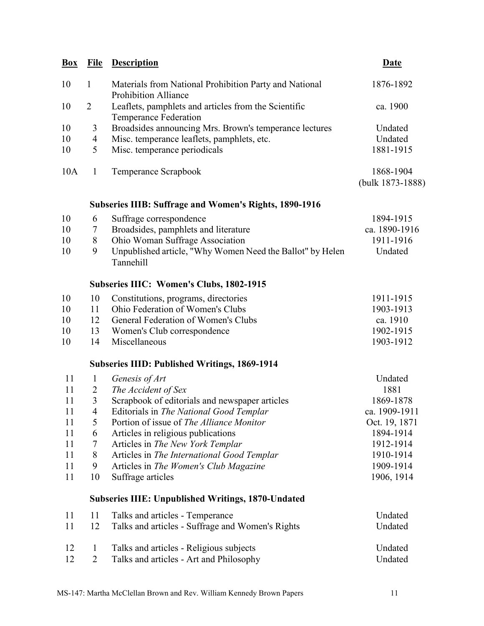| <b>Box</b> | <b>File</b>    | <b>Description</b>                                                                    | <b>Date</b>                   |
|------------|----------------|---------------------------------------------------------------------------------------|-------------------------------|
| 10         | $\mathbf{1}$   | Materials from National Prohibition Party and National<br><b>Prohibition Alliance</b> | 1876-1892                     |
| 10         | $\overline{2}$ | Leaflets, pamphlets and articles from the Scientific<br><b>Temperance Federation</b>  | ca. 1900                      |
| 10         | 3              | Broadsides announcing Mrs. Brown's temperance lectures                                | Undated                       |
| 10         | $\overline{4}$ | Misc. temperance leaflets, pamphlets, etc.                                            | Undated                       |
| 10         | 5              | Misc. temperance periodicals                                                          | 1881-1915                     |
| 10A        | $\mathbf{1}$   | Temperance Scrapbook                                                                  | 1868-1904<br>(bulk 1873-1888) |
|            |                | <b>Subseries IIIB: Suffrage and Women's Rights, 1890-1916</b>                         |                               |
| 10         | 6              | Suffrage correspondence                                                               | 1894-1915                     |
| 10         | 7              | Broadsides, pamphlets and literature                                                  | ca. 1890-1916                 |
| 10         | 8              | Ohio Woman Suffrage Association                                                       | 1911-1916                     |
| 10         | 9              | Unpublished article, "Why Women Need the Ballot" by Helen<br><b>Tannehill</b>         | Undated                       |
|            |                | <b>Subseries IIIC: Women's Clubs, 1802-1915</b>                                       |                               |
| 10         | 10             | Constitutions, programs, directories                                                  | 1911-1915                     |
| 10         | 11             | Ohio Federation of Women's Clubs                                                      | 1903-1913                     |
| 10         | 12             | General Federation of Women's Clubs                                                   | ca. 1910                      |
| 10         | 13             | Women's Club correspondence                                                           | 1902-1915                     |
| 10         | 14             | Miscellaneous                                                                         | 1903-1912                     |
|            |                | <b>Subseries IIID: Published Writings, 1869-1914</b>                                  |                               |
| 11         | $\mathbf{1}$   | Genesis of Art                                                                        | Undated                       |
| 11         | $\overline{2}$ | The Accident of Sex                                                                   | 1881                          |
| 11         | 3              | Scrapbook of editorials and newspaper articles                                        | 1869-1878                     |
| 11         | $\overline{4}$ | Editorials in The National Good Templar                                               | ca. 1909-1911                 |
| 11         | 5              | Portion of issue of The Alliance Monitor                                              | Oct. 19, 1871                 |
| 11         | 6              | Articles in religious publications                                                    | 1894-1914                     |
| 11         | 7              | Articles in The New York Templar                                                      | 1912-1914                     |
| 11         | 8              | Articles in The International Good Templar                                            | 1910-1914                     |
| 11         | 9              | Articles in The Women's Club Magazine                                                 | 1909-1914                     |
| 11         | 10             | Suffrage articles                                                                     | 1906, 1914                    |
|            |                | <b>Subseries IIIE: Unpublished Writings, 1870-Undated</b>                             |                               |
| 11         | 11             | Talks and articles - Temperance                                                       | Undated                       |
| 11         | 12             | Talks and articles - Suffrage and Women's Rights                                      | Undated                       |
| 12         | $\mathbf{1}$   | Talks and articles - Religious subjects                                               | Undated                       |
| 12         | $\overline{2}$ | Talks and articles - Art and Philosophy                                               | Undated                       |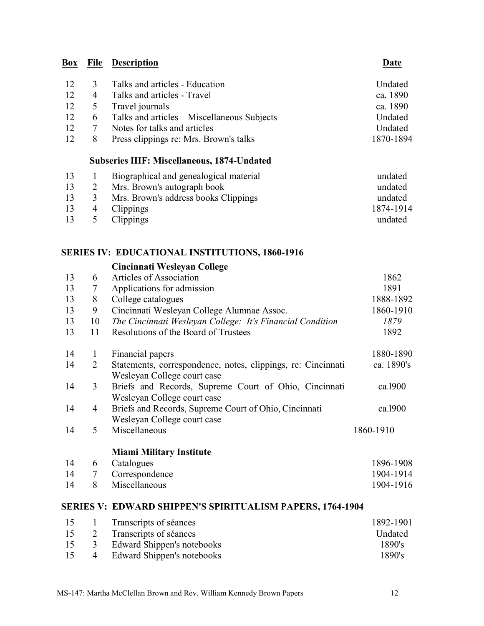| 12 | $\mathcal{R}$  | Talks and articles - Education                | Undated   |
|----|----------------|-----------------------------------------------|-----------|
| 12 | $\overline{4}$ | Talks and articles - Travel                   | ca. 1890  |
|    |                | 12 5 Travel journals                          | ca. 1890  |
| 12 |                | 6 Talks and articles – Miscellaneous Subjects | Undated   |
| 12 |                | Notes for talks and articles                  | Undated   |
| 12 |                | Press clippings re: Mrs. Brown's talks        | 1870-1894 |

### **Subseries IIIF: Miscellaneous, 1874-Undated**

| 13 |      | Biographical and genealogical material | undated   |
|----|------|----------------------------------------|-----------|
| 13 |      | Mrs. Brown's autograph book            | undated   |
| 13 | 3    | Mrs. Brown's address books Clippings   | undated   |
| 13 |      | 4 Clippings                            | 1874-1914 |
|    | 13 5 | Clippings                              | undated   |

### **SERIES IV: EDUCATIONAL INSTITUTIONS, 1860-1916**

|    |              | Cincinnati Wesleyan College                                                                 |            |
|----|--------------|---------------------------------------------------------------------------------------------|------------|
| 13 | 6            | <b>Articles of Association</b>                                                              | 1862       |
| 13 | 7            | Applications for admission                                                                  | 1891       |
| 13 | 8            | College catalogues                                                                          | 1888-1892  |
| 13 | 9            | Cincinnati Wesleyan College Alumnae Assoc.                                                  | 1860-1910  |
| 13 | 10           | The Cincinnati Wesleyan College: It's Financial Condition                                   | 1879       |
| 13 | 11           | Resolutions of the Board of Trustees                                                        | 1892       |
| 14 | $\mathbf{1}$ | Financial papers                                                                            | 1880-1890  |
| 14 | 2            | Statements, correspondence, notes, clippings, re: Cincinnati<br>Wesleyan College court case | ca. 1890's |
| 14 | 3            | Briefs and Records, Supreme Court of Ohio, Cincinnati<br>Wesleyan College court case        | ca.1900    |
| 14 | 4            | Briefs and Records, Supreme Court of Ohio, Cincinnati<br>Wesleyan College court case        | ca.1900    |
| 14 | 5            | Miscellaneous                                                                               | 1860-1910  |
|    |              | <b>Miami Military Institute</b>                                                             |            |
| 14 | 6            | Catalogues                                                                                  | 1896-1908  |
| 14 | $\tau$       | Correspondence                                                                              | 1904-1914  |
| 14 | 8            | Miscellaneous                                                                               | 1904-1916  |
|    |              | <b>SERIES V: EDWARD SHIPPEN'S SPIRITUALISM PAPERS, 1764-1904</b>                            |            |

| 15 | 1 Transcripts of séances        | 1892-1901      |
|----|---------------------------------|----------------|
|    | 15 2 Transcripts of séances     | <b>Undated</b> |
|    | 15 3 Edward Shippen's notebooks | 1890's         |
| 15 | 4 Edward Shippen's notebooks    | 1890's         |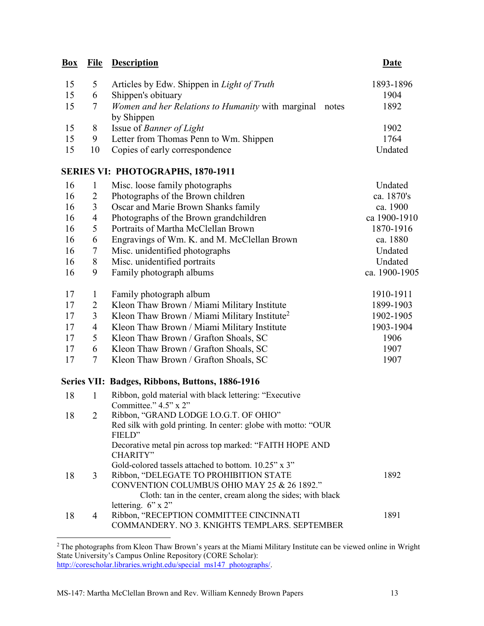# **Box File Description Date** 15 5 Articles by Edw. Shippen in *Light of Truth* 1893-1896 15 6 Shippen's obituary 1904 15 7 *Women and her Relations to Humanity* with marginal notes by Shippen 15 8 Issue of *Banner of Light* 1902

15 9 Letter from Thomas Penn to Wm. Shippen 1764 15 10 Copies of early correspondence Undated

### **SERIES VI: PHOTOGRAPHS, 1870-1911**

| 16 | 1               | Misc. loose family photographs                           | Undated       |
|----|-----------------|----------------------------------------------------------|---------------|
| 16 | 2               | Photographs of the Brown children                        | ca. 1870's    |
| 16 | 3               | Oscar and Marie Brown Shanks family                      | ca. 1900      |
| 16 | 4               | Photographs of the Brown grandchildren                   | ca 1900-1910  |
| 16 | 5               | Portraits of Martha McClellan Brown                      | 1870-1916     |
| 16 | 6               | Engravings of Wm. K. and M. McClellan Brown              | ca. 1880      |
| 16 | 7               | Misc. unidentified photographs                           | Undated       |
| 16 | 8               | Misc. unidentified portraits                             | Undated       |
| 16 | 9               | Family photograph albums                                 | ca. 1900-1905 |
| 17 | 1               | Family photograph album                                  | 1910-1911     |
| 17 | 2               | Kleon Thaw Brown / Miami Military Institute              | 1899-1903     |
| 17 | 3               | Kleon Thaw Brown / Miami Military Institute <sup>2</sup> | 1902-1905     |
| 17 | 4               | Kleon Thaw Brown / Miami Military Institute              | 1903-1904     |
| 17 | 5               | Kleon Thaw Brown / Grafton Shoals, SC                    | 1906          |
| 17 | 6               | Kleon Thaw Brown / Grafton Shoals, SC                    | 1907          |
| 17 | $7\phantom{.0}$ | Kleon Thaw Brown / Grafton Shoals, SC                    | 1907          |
|    |                 | Series VII: Badges, Ribbons, Buttons, 1886-1916          |               |

| 18 |   | Ribbon, gold material with black lettering: "Executive"        |      |
|----|---|----------------------------------------------------------------|------|
|    |   | Committee." $4.5$ " x $2$ "                                    |      |
| 18 | 2 | Ribbon, "GRAND LODGE I.O.G.T. OF OHIO"                         |      |
|    |   | Red silk with gold printing. In center: globe with motto: "OUR |      |
|    |   | FIELD"                                                         |      |
|    |   | Decorative metal pin across top marked: "FAITH HOPE AND        |      |
|    |   | CHARITY"                                                       |      |
|    |   | Gold-colored tassels attached to bottom. $10.25$ " x 3"        |      |
| 18 | 3 | Ribbon, "DELEGATE TO PROHIBITION STATE                         | 1892 |
|    |   | CONVENTION COLUMBUS OHIO MAY 25 & 26 1892."                    |      |
|    |   | Cloth: tan in the center, cream along the sides; with black    |      |
|    |   | lettering. $6" \times 2"$                                      |      |
| 18 | 4 | Ribbon, "RECEPTION COMMITTEE CINCINNATI                        | 1891 |
|    |   | COMMANDERY. NO 3. KNIGHTS TEMPLARS. SEPTEMBER                  |      |

 $\overline{a}$ 

1892

<sup>&</sup>lt;sup>2</sup> The photographs from Kleon Thaw Brown's years at the Miami Military Institute can be viewed online in Wright State University's Campus Online Repository (CORE Scholar): [http://corescholar.libraries.wright.edu/special\\_ms147\\_photographs/.](http://corescholar.libraries.wright.edu/special_ms147_photographs/)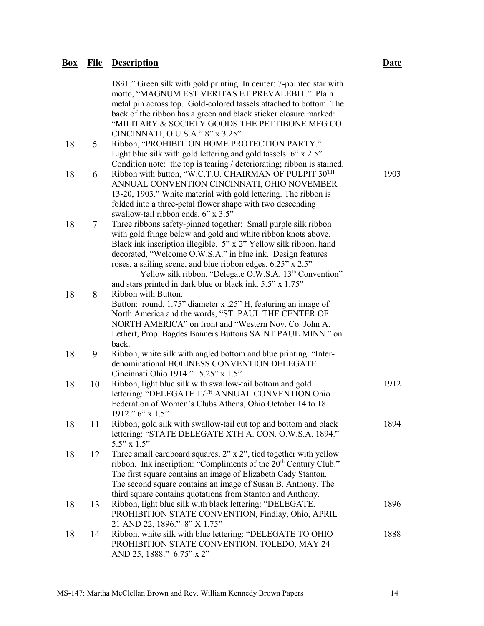|    |                 | 1891." Green silk with gold printing. In center: 7-pointed star with                                                                                    |      |
|----|-----------------|---------------------------------------------------------------------------------------------------------------------------------------------------------|------|
|    |                 | motto, "MAGNUM EST VERITAS ET PREVALEBIT." Plain                                                                                                        |      |
|    |                 | metal pin across top. Gold-colored tassels attached to bottom. The                                                                                      |      |
|    |                 | back of the ribbon has a green and black sticker closure marked:                                                                                        |      |
|    |                 | "MILITARY & SOCIETY GOODS THE PETTIBONE MFG CO                                                                                                          |      |
|    |                 | CINCINNATI, O U.S.A." 8" x 3.25"                                                                                                                        |      |
| 18 | $5\overline{)}$ | Ribbon, "PROHIBITION HOME PROTECTION PARTY."                                                                                                            |      |
|    |                 | Light blue silk with gold lettering and gold tassels. 6" x 2.5"                                                                                         |      |
|    |                 | Condition note: the top is tearing / deteriorating; ribbon is stained.<br>Ribbon with button, "W.C.T.U. CHAIRMAN OF PULPIT 30TH                         | 1903 |
| 18 | 6               | ANNUAL CONVENTION CINCINNATI, OHIO NOVEMBER                                                                                                             |      |
|    |                 | 13-20, 1903." White material with gold lettering. The ribbon is                                                                                         |      |
|    |                 | folded into a three-petal flower shape with two descending                                                                                              |      |
|    |                 | swallow-tail ribbon ends. 6" x 3.5"                                                                                                                     |      |
| 18 | $\tau$          | Three ribbons safety-pinned together: Small purple silk ribbon                                                                                          |      |
|    |                 | with gold fringe below and gold and white ribbon knots above.                                                                                           |      |
|    |                 | Black ink inscription illegible. 5" x 2" Yellow silk ribbon, hand                                                                                       |      |
|    |                 | decorated, "Welcome O.W.S.A." in blue ink. Design features                                                                                              |      |
|    |                 | roses, a sailing scene, and blue ribbon edges. 6.25" x 2.5"<br>Yellow silk ribbon, "Delegate O.W.S.A. 13 <sup>th</sup> Convention"                      |      |
|    |                 | and stars printed in dark blue or black ink. 5.5" x 1.75"                                                                                               |      |
| 18 | 8               | Ribbon with Button.                                                                                                                                     |      |
|    |                 | Button: round, 1.75" diameter x .25" H, featuring an image of                                                                                           |      |
|    |                 | North America and the words, "ST. PAUL THE CENTER OF                                                                                                    |      |
|    |                 | NORTH AMERICA" on front and "Western Nov. Co. John A.                                                                                                   |      |
|    |                 | Lethert, Prop. Bagdes Banners Buttons SAINT PAUL MINN." on                                                                                              |      |
|    |                 | back.                                                                                                                                                   |      |
| 18 | 9               | Ribbon, white silk with angled bottom and blue printing: "Inter-<br>denominational HOLINESS CONVENTION DELEGATE                                         |      |
|    |                 | Cincinnati Ohio 1914." 5.25" x 1.5"                                                                                                                     |      |
| 18 | 10              | Ribbon, light blue silk with swallow-tail bottom and gold                                                                                               | 1912 |
|    |                 | lettering: "DELEGATE 17TH ANNUAL CONVENTION Ohio                                                                                                        |      |
|    |                 | Federation of Women's Clubs Athens, Ohio October 14 to 18                                                                                               |      |
|    |                 | 1912." 6" x 1.5"                                                                                                                                        |      |
| 18 | 11              | Ribbon, gold silk with swallow-tail cut top and bottom and black                                                                                        | 1894 |
|    |                 | lettering: "STATE DELEGATE XTH A. CON. O.W.S.A. 1894."                                                                                                  |      |
|    |                 | $5.5" \times 1.5"$                                                                                                                                      |      |
| 18 | 12              | Three small cardboard squares, $2$ " x $2$ ", tied together with yellow<br>ribbon. Ink inscription: "Compliments of the 20 <sup>th</sup> Century Club." |      |
|    |                 | The first square contains an image of Elizabeth Cady Stanton.                                                                                           |      |
|    |                 | The second square contains an image of Susan B. Anthony. The                                                                                            |      |
|    |                 | third square contains quotations from Stanton and Anthony.                                                                                              |      |
| 18 | 13              | Ribbon, light blue silk with black lettering: "DELEGATE.                                                                                                | 1896 |
|    |                 | PROHIBITION STATE CONVENTION, Findlay, Ohio, APRIL                                                                                                      |      |
|    |                 | 21 AND 22, 1896." 8" X 1.75"                                                                                                                            |      |
| 18 | 14              | Ribbon, white silk with blue lettering: "DELEGATE TO OHIO                                                                                               | 1888 |
|    |                 | PROHIBITION STATE CONVENTION. TOLEDO, MAY 24<br>AND 25, 1888." 6.75" x 2"                                                                               |      |
|    |                 |                                                                                                                                                         |      |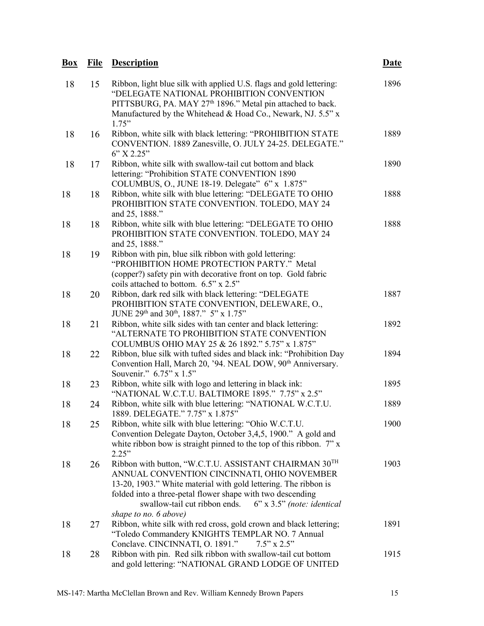#### **Box File Description Date** 18 15 Ribbon, light blue silk with applied U.S. flags and gold lettering: "DELEGATE NATIONAL PROHIBITION CONVENTION PITTSBURG, PA. MAY 27<sup>th</sup> 1896." Metal pin attached to back. Manufactured by the Whitehead & Hoad Co., Newark, NJ. 5.5" x 1.75" 18 16 Ribbon, white silk with black lettering: "PROHIBITION STATE CONVENTION. 1889 Zanesville, O. JULY 24-25. DELEGATE." 6" X 2.25" 18 17 Ribbon, white silk with swallow-tail cut bottom and black lettering: "Prohibition STATE CONVENTION 1890 COLUMBUS, O., JUNE 18-19. Delegate" 6" x 1.875" 18 18 Ribbon, white silk with blue lettering: "DELEGATE TO OHIO PROHIBITION STATE CONVENTION. TOLEDO, MAY 24 and 25, 1888." 18 18 Ribbon, white silk with blue lettering: "DELEGATE TO OHIO PROHIBITION STATE CONVENTION. TOLEDO, MAY 24 and 25, 1888." 18 19 Ribbon with pin, blue silk ribbon with gold lettering: "PROHIBITION HOME PROTECTION PARTY." Metal (copper?) safety pin with decorative front on top. Gold fabric coils attached to bottom. 6.5" x 2.5" 18 20 Ribbon, dark red silk with black lettering: "DELEGATE PROHIBITION STATE CONVENTION, DELEWARE, O., JUNE 29<sup>th</sup> and 30<sup>th</sup>, 1887." 5" x 1.75" 18 21 Ribbon, white silk sides with tan center and black lettering: "ALTERNATE TO PROHIBITION STATE CONVENTION COLUMBUS OHIO MAY 25 & 26 1892." 5.75" x 1.875" 18 22 Ribbon, blue silk with tufted sides and black ink: "Prohibition Day Convention Hall, March 20, '94. NEAL DOW, 90<sup>th</sup> Anniversary.

Souvenir." 6.75" x 1.5" 18 23 Ribbon, white silk with logo and lettering in black ink: "NATIONAL W.C.T.U. BALTIMORE 1895." 7.75" x 2.5" 1895 18 24 Ribbon, white silk with blue lettering: "NATIONAL W.C.T.U. 1889. DELEGATE." 7.75" x 1.875" 1889 18 25 Ribbon, white silk with blue lettering: "Ohio W.C.T.U. Convention Delegate Dayton, October 3,4,5, 1900." A gold and white ribbon bow is straight pinned to the top of this ribbon. 7" x  $2.25"$ 1900 18 26 Ribbon with button, "W.C.T.U. ASSISTANT CHAIRMAN 30TH ANNUAL CONVENTION CINCINNATI, OHIO NOVEMBER 13-20, 1903." White material with gold lettering. The ribbon is folded into a three-petal flower shape with two descending swallow-tail cut ribbon ends. 6" x 3.5" *(note: identical shape to no. 6 above)* 1903 18 27 Ribbon, white silk with red cross, gold crown and black lettering; "Toledo Commandery KNIGHTS TEMPLAR NO. 7 Annual Conclave. CINCINNATI, O. 1891." 7.5" x 2.5" 1891

18 28 Ribbon with pin. Red silk ribbon with swallow-tail cut bottom and gold lettering: "NATIONAL GRAND LODGE OF UNITED 1915

1896

1889

1890

1888

1888

1887

1892

1894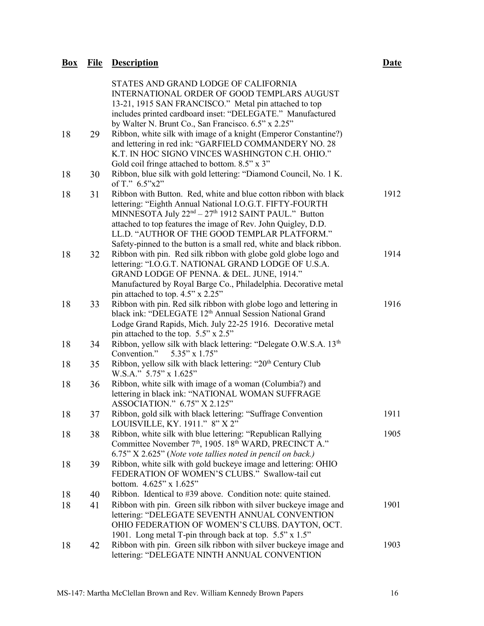|    |    | STATES AND GRAND LODGE OF CALIFORNIA<br>INTERNATIONAL ORDER OF GOOD TEMPLARS AUGUST<br>13-21, 1915 SAN FRANCISCO." Metal pin attached to top<br>includes printed cardboard inset: "DELEGATE." Manufactured                                                                                                                                                                                          |      |
|----|----|-----------------------------------------------------------------------------------------------------------------------------------------------------------------------------------------------------------------------------------------------------------------------------------------------------------------------------------------------------------------------------------------------------|------|
| 18 | 29 | by Walter N. Brunt Co., San Francisco. 6.5" x 2.25"<br>Ribbon, white silk with image of a knight (Emperor Constantine?)<br>and lettering in red ink: "GARFIELD COMMANDERY NO. 28<br>K.T. IN HOC SIGNO VINCES WASHINGTON C.H. OHIO."<br>Gold coil fringe attached to bottom. 8.5" x 3"                                                                                                               |      |
| 18 | 30 | Ribbon, blue silk with gold lettering: "Diamond Council, No. 1 K.<br>of T." 6.5"x2"                                                                                                                                                                                                                                                                                                                 |      |
| 18 | 31 | Ribbon with Button. Red, white and blue cotton ribbon with black<br>lettering: "Eighth Annual National I.O.G.T. FIFTY-FOURTH<br>MINNESOTA July 22 <sup>nd</sup> – 27 <sup>th</sup> 1912 SAINT PAUL." Button<br>attached to top features the image of Rev. John Quigley, D.D.<br>LL.D. "AUTHOR OF THE GOOD TEMPLAR PLATFORM."<br>Safety-pinned to the button is a small red, white and black ribbon. | 1912 |
| 18 | 32 | Ribbon with pin. Red silk ribbon with globe gold globe logo and<br>lettering: "I.O.G.T. NATIONAL GRAND LODGE OF U.S.A.<br>GRAND LODGE OF PENNA. & DEL. JUNE, 1914."<br>Manufactured by Royal Barge Co., Philadelphia. Decorative metal<br>pin attached to top. 4.5" x 2.25"                                                                                                                         | 1914 |
| 18 | 33 | Ribbon with pin. Red silk ribbon with globe logo and lettering in<br>black ink: "DELEGATE 12 <sup>th</sup> Annual Session National Grand<br>Lodge Grand Rapids, Mich. July 22-25 1916. Decorative metal<br>pin attached to the top. 5.5" x 2.5"                                                                                                                                                     | 1916 |
| 18 | 34 | Ribbon, yellow silk with black lettering: "Delegate O.W.S.A. 13th<br>Convention."<br>5.35" x 1.75"                                                                                                                                                                                                                                                                                                  |      |
| 18 | 35 | Ribbon, yellow silk with black lettering: "20 <sup>th</sup> Century Club<br>W.S.A." 5.75" x 1.625"                                                                                                                                                                                                                                                                                                  |      |
| 18 | 36 | Ribbon, white silk with image of a woman (Columbia?) and<br>lettering in black ink: "NATIONAL WOMAN SUFFRAGE<br>ASSOCIATION." 6.75" X 2.125"                                                                                                                                                                                                                                                        |      |
| 18 | 37 | Ribbon, gold silk with black lettering: "Suffrage Convention<br>LOUISVILLE, KY. 1911." 8" X 2"                                                                                                                                                                                                                                                                                                      | 1911 |
| 18 | 38 | Ribbon, white silk with blue lettering: "Republican Rallying<br>Committee November 7 <sup>th</sup> , 1905. 18 <sup>th</sup> WARD, PRECINCT A."<br>6.75" X 2.625" (Note vote tallies noted in pencil on back.)                                                                                                                                                                                       | 1905 |
| 18 | 39 | Ribbon, white silk with gold buckeye image and lettering: OHIO<br>FEDERATION OF WOMEN'S CLUBS." Swallow-tail cut<br>bottom. 4.625" x 1.625"                                                                                                                                                                                                                                                         |      |
| 18 | 40 | Ribbon. Identical to #39 above. Condition note: quite stained.                                                                                                                                                                                                                                                                                                                                      |      |
| 18 | 41 | Ribbon with pin. Green silk ribbon with silver buckeye image and<br>lettering: "DELEGATE SEVENTH ANNUAL CONVENTION<br>OHIO FEDERATION OF WOMEN'S CLUBS. DAYTON, OCT.<br>1901. Long metal T-pin through back at top. 5.5" x 1.5"                                                                                                                                                                     | 1901 |
| 18 | 42 | Ribbon with pin. Green silk ribbon with silver buckeye image and<br>lettering: "DELEGATE NINTH ANNUAL CONVENTION                                                                                                                                                                                                                                                                                    | 1903 |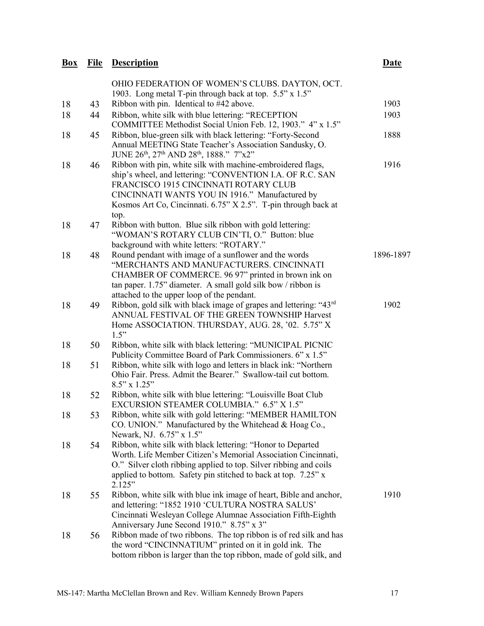| $\frac{Box}{}$ | <b>File</b> | <b>Description</b>                                                                                                                                                                                                                                                                            | <b>Date</b> |
|----------------|-------------|-----------------------------------------------------------------------------------------------------------------------------------------------------------------------------------------------------------------------------------------------------------------------------------------------|-------------|
|                |             | OHIO FEDERATION OF WOMEN'S CLUBS. DAYTON, OCT.<br>1903. Long metal T-pin through back at top. 5.5" x 1.5"                                                                                                                                                                                     |             |
| 18             | 43          | Ribbon with pin. Identical to #42 above.                                                                                                                                                                                                                                                      | 1903        |
| 18             | 44          | Ribbon, white silk with blue lettering: "RECEPTION<br>COMMITTEE Methodist Social Union Feb. 12, 1903." 4" x 1.5"                                                                                                                                                                              | 1903        |
| 18             | 45          | Ribbon, blue-green silk with black lettering: "Forty-Second<br>Annual MEETING State Teacher's Association Sandusky, O.<br>JUNE 26th, 27th AND 28th, 1888." 7"x2"                                                                                                                              | 1888        |
| 18             | 46          | Ribbon with pin, white silk with machine-embroidered flags,<br>ship's wheel, and lettering: "CONVENTION I.A. OF R.C. SAN<br>FRANCISCO 1915 CINCINNATI ROTARY CLUB<br>CINCINNATI WANTS YOU IN 1916." Manufactured by<br>Kosmos Art Co, Cincinnati. 6.75" X 2.5". T-pin through back at<br>top. | 1916        |
| 18             | 47          | Ribbon with button. Blue silk ribbon with gold lettering:<br>"WOMAN'S ROTARY CLUB CIN'TI, O." Button: blue<br>background with white letters: "ROTARY."                                                                                                                                        |             |
| 18             | 48          | Round pendant with image of a sunflower and the words<br>"MERCHANTS AND MANUFACTURERS. CINCINNATI<br>CHAMBER OF COMMERCE. 96 97" printed in brown ink on<br>tan paper. $1.75$ " diameter. A small gold silk bow / ribbon is<br>attached to the upper loop of the pendant.                     | 1896-1897   |
| 18             | 49          | Ribbon, gold silk with black image of grapes and lettering: "43rd<br>ANNUAL FESTIVAL OF THE GREEN TOWNSHIP Harvest<br>Home ASSOCIATION. THURSDAY, AUG. 28, '02. 5.75" X<br>1.5"                                                                                                               | 1902        |
| 18             | 50          | Ribbon, white silk with black lettering: "MUNICIPAL PICNIC<br>Publicity Committee Board of Park Commissioners. 6" x 1.5"                                                                                                                                                                      |             |
| 18             | 51          | Ribbon, white silk with logo and letters in black ink: "Northern<br>Ohio Fair. Press. Admit the Bearer." Swallow-tail cut bottom.<br>$8.5$ " x $1.25$ "                                                                                                                                       |             |
| 18             | 52          | Ribbon, white silk with blue lettering: "Louisville Boat Club<br>EXCURSION STEAMER COLUMBIA." 6.5" X 1.5"                                                                                                                                                                                     |             |
| 18             | 53          | Ribbon, white silk with gold lettering: "MEMBER HAMILTON<br>CO. UNION." Manufactured by the Whitehead & Hoag Co.,<br>Newark, NJ. 6.75" x 1.5"                                                                                                                                                 |             |
| 18             | 54          | Ribbon, white silk with black lettering: "Honor to Departed<br>Worth. Life Member Citizen's Memorial Association Cincinnati,<br>O." Silver cloth ribbing applied to top. Silver ribbing and coils<br>applied to bottom. Safety pin stitched to back at top. 7.25" x<br>2.125"                 |             |
| 18             | 55          | Ribbon, white silk with blue ink image of heart, Bible and anchor,<br>and lettering: "1852 1910 'CULTURA NOSTRA SALUS'<br>Cincinnati Wesleyan College Alumnae Association Fifth-Eighth<br>Anniversary June Second 1910." 8.75" x 3"                                                           | 1910        |
| 18             | 56          | Ribbon made of two ribbons. The top ribbon is of red silk and has<br>the word "CINCINNATIUM" printed on it in gold ink. The<br>bottom ribbon is larger than the top ribbon, made of gold silk, and                                                                                            |             |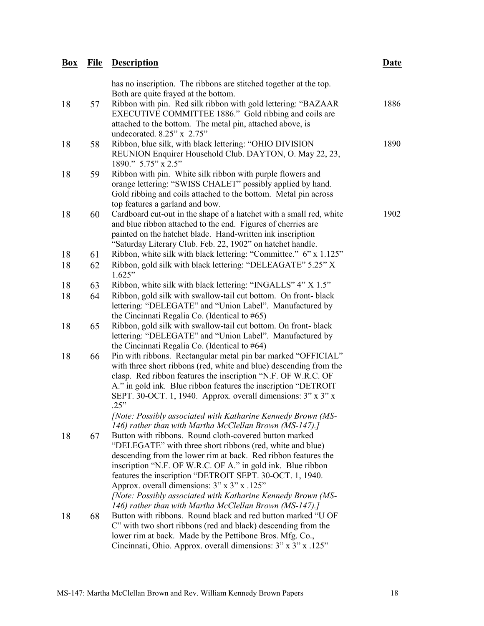| $Box$ | <u>File</u> | <b>Description</b>                                                                                                                                                                                                                                                                                                                                                                                             | <b>Date</b> |
|-------|-------------|----------------------------------------------------------------------------------------------------------------------------------------------------------------------------------------------------------------------------------------------------------------------------------------------------------------------------------------------------------------------------------------------------------------|-------------|
|       |             | has no inscription. The ribbons are stitched together at the top.<br>Both are quite frayed at the bottom.                                                                                                                                                                                                                                                                                                      |             |
| 18    | 57          | Ribbon with pin. Red silk ribbon with gold lettering: "BAZAAR<br>EXECUTIVE COMMITTEE 1886." Gold ribbing and coils are<br>attached to the bottom. The metal pin, attached above, is<br>undecorated. 8.25" x 2.75"                                                                                                                                                                                              | 1886        |
| 18    | 58          | Ribbon, blue silk, with black lettering: "OHIO DIVISION<br>REUNION Enquirer Household Club. DAYTON, O. May 22, 23,<br>1890." 5.75" x 2.5"                                                                                                                                                                                                                                                                      | 1890        |
| 18    | 59          | Ribbon with pin. White silk ribbon with purple flowers and<br>orange lettering: "SWISS CHALET" possibly applied by hand.<br>Gold ribbing and coils attached to the bottom. Metal pin across<br>top features a garland and bow.                                                                                                                                                                                 |             |
| 18    | 60          | Cardboard cut-out in the shape of a hatchet with a small red, white<br>and blue ribbon attached to the end. Figures of cherries are<br>painted on the hatchet blade. Hand-written ink inscription<br>"Saturday Literary Club. Feb. 22, 1902" on hatchet handle.                                                                                                                                                | 1902        |
| 18    | 61          | Ribbon, white silk with black lettering: "Committee." 6" x 1.125"                                                                                                                                                                                                                                                                                                                                              |             |
| 18    | 62          | Ribbon, gold silk with black lettering: "DELEAGATE" 5.25" X<br>1.625"                                                                                                                                                                                                                                                                                                                                          |             |
| 18    | 63          | Ribbon, white silk with black lettering: "INGALLS" 4" X 1.5"                                                                                                                                                                                                                                                                                                                                                   |             |
| 18    | 64          | Ribbon, gold silk with swallow-tail cut bottom. On front-black<br>lettering: "DELEGATE" and "Union Label". Manufactured by<br>the Cincinnati Regalia Co. (Identical to #65)                                                                                                                                                                                                                                    |             |
| 18    | 65          | Ribbon, gold silk with swallow-tail cut bottom. On front- black<br>lettering: "DELEGATE" and "Union Label". Manufactured by<br>the Cincinnati Regalia Co. (Identical to #64)                                                                                                                                                                                                                                   |             |
| 18    | 66          | Pin with ribbons. Rectangular metal pin bar marked "OFFICIAL"<br>with three short ribbons (red, white and blue) descending from the<br>clasp. Red ribbon features the inscription "N.F. OF W.R.C. OF<br>A." in gold ink. Blue ribbon features the inscription "DETROIT<br>SEPT. 30-OCT. 1, 1940. Approx. overall dimensions: 3" x 3" x<br>.25"<br>[Note: Possibly associated with Katharine Kennedy Brown (MS- |             |
|       |             | 146) rather than with Martha McClellan Brown (MS-147).]                                                                                                                                                                                                                                                                                                                                                        |             |
| 18    | 67          | Button with ribbons. Round cloth-covered button marked<br>"DELEGATE" with three short ribbons (red, white and blue)                                                                                                                                                                                                                                                                                            |             |
|       |             | descending from the lower rim at back. Red ribbon features the<br>inscription "N.F. OF W.R.C. OF A." in gold ink. Blue ribbon<br>features the inscription "DETROIT SEPT. 30-OCT. 1, 1940.<br>Approx. overall dimensions: 3" x 3" x .125"<br>[Note: Possibly associated with Katharine Kennedy Brown (MS-                                                                                                       |             |
| 18    | 68          | 146) rather than with Martha McClellan Brown (MS-147).]<br>Button with ribbons. Round black and red button marked "U OF<br>C" with two short ribbons (red and black) descending from the<br>lower rim at back. Made by the Pettibone Bros. Mfg. Co.,<br>Cincinnati, Ohio. Approx. overall dimensions: 3" x 3" x .125"                                                                                          |             |